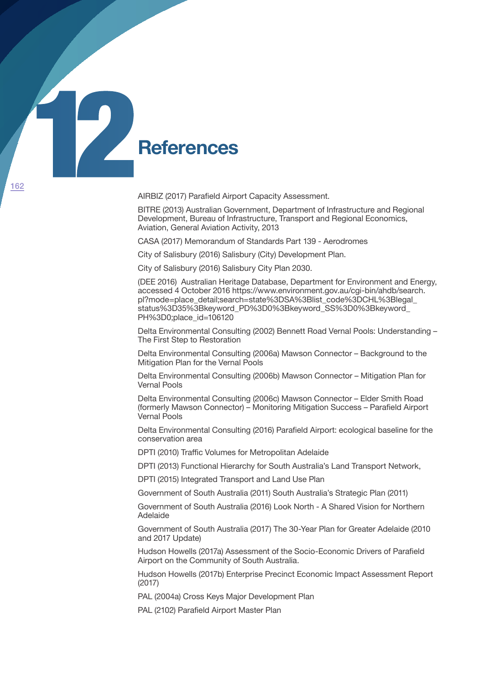

AIRBIZ (2017) Parafield Airport Capacity Assessment.

BITRE (2013) Australian Government, Department of Infrastructure and Regional Development, Bureau of Infrastructure, Transport and Regional Economics, Aviation, General Aviation Activity, 2013

CASA (2017) Memorandum of Standards Part 139 - Aerodromes

City of Salisbury (2016) Salisbury (City) Development Plan.

City of Salisbury (2016) Salisbury City Plan 2030.

(DEE 2016) Australian Heritage Database, Department for Environment and Energy, accessed 4 October 2016 https://www.environment.gov.au/cgi-bin/ahdb/search. pl?mode=place\_detail;search=state%3DSA%3Blist\_code%3DCHL%3Blegal\_ status%3D35%3Bkeyword\_PD%3D0%3Bkeyword\_SS%3D0%3Bkeyword\_ PH%3D0;place\_id=106120

Delta Environmental Consulting (2002) Bennett Road Vernal Pools: Understanding – The First Step to Restoration

Delta Environmental Consulting (2006a) Mawson Connector – Background to the Mitigation Plan for the Vernal Pools

Delta Environmental Consulting (2006b) Mawson Connector – Mitigation Plan for Vernal Pools

Delta Environmental Consulting (2006c) Mawson Connector – Elder Smith Road (formerly Mawson Connector) – Monitoring Mitigation Success – Parafield Airport Vernal Pools

Delta Environmental Consulting (2016) Parafield Airport: ecological baseline for the conservation area

DPTI (2010) Traffic Volumes for Metropolitan Adelaide

DPTI (2013) Functional Hierarchy for South Australia's Land Transport Network,

DPTI (2015) Integrated Transport and Land Use Plan

Government of South Australia (2011) South Australia's Strategic Plan (2011)

Government of South Australia (2016) Look North - A Shared Vision for Northern Adelaide

Government of South Australia (2017) The 30-Year Plan for Greater Adelaide (2010 and 2017 Update)

Hudson Howells (2017a) Assessment of the Socio-Economic Drivers of Parafield Airport on the Community of South Australia.

Hudson Howells (2017b) Enterprise Precinct Economic Impact Assessment Report (2017)

PAL (2004a) Cross Keys Major Development Plan

PAL (2102) Parafield Airport Master Plan